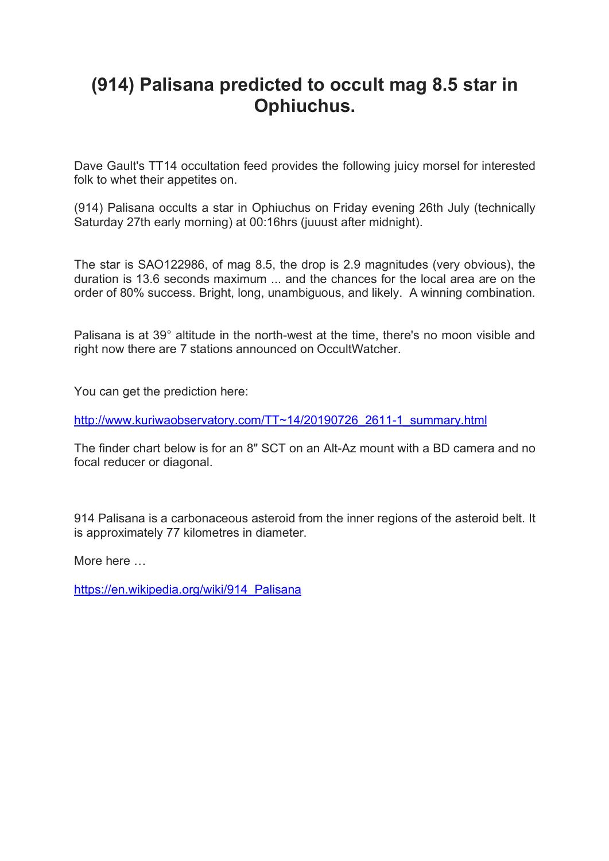## **(914) Palisana predicted to occult mag 8.5 star in Ophiuchus.**

Dave Gault's TT14 occultation feed provides the following juicy morsel for interested folk to whet their appetites on.

(914) Palisana occults a star in Ophiuchus on Friday evening 26th July (technically Saturday 27th early morning) at 00:16hrs (juuust after midnight).

The star is SAO122986, of mag 8.5, the drop is 2.9 magnitudes (very obvious), the duration is 13.6 seconds maximum ... and the chances for the local area are on the order of 80% success. Bright, long, unambiguous, and likely. A winning combination.

Palisana is at 39° altitude in the north-west at the time, there's no moon visible and right now there are 7 stations announced on OccultWatcher.

You can get the prediction here:

http://www.kuriwaobservatory.com/TT~14/20190726\_2611-1\_summary.html

The finder chart below is for an 8" SCT on an Alt-Az mount with a BD camera and no focal reducer or diagonal.

914 Palisana is a carbonaceous asteroid from the inner regions of the asteroid belt. It is approximately 77 kilometres in diameter.

More here …

https://en.wikipedia.org/wiki/914\_Palisana